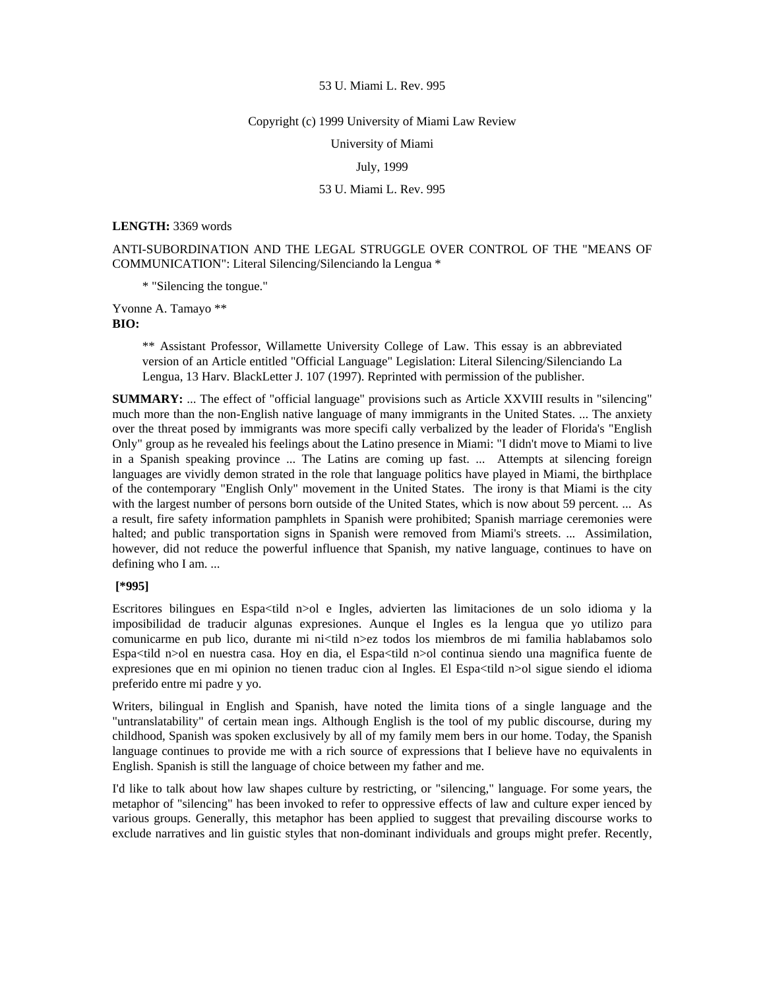#### Copyright (c) 1999 University of Miami Law Review

University of Miami

## July, 1999

# 53 U. Miami L. Rev. 995

#### **LENGTH:** 3369 words

ANTI-SUBORDINATION AND THE LEGAL STRUGGLE OVER CONTROL OF THE "MEANS OF COMMUNICATION": Literal Silencing/Silenciando la Lengua \*

\* "Silencing the tongue."

Yvonne A. Tamayo \*\*

**BIO:** 

\*\* Assistant Professor, Willamette University College of Law. This essay is an abbreviated version of an Article entitled "Official Language" Legislation: Literal Silencing/Silenciando La Lengua, 13 Harv. BlackLetter J. 107 (1997). Reprinted with permission of the publisher.

**SUMMARY:** ... The effect of "official language" provisions such as Article XXVIII results in "silencing" much more than the non-English native language of many immigrants in the United States. ... The anxiety over the threat posed by immigrants was more specifi cally verbalized by the leader of Florida's "English Only" group as he revealed his feelings about the Latino presence in Miami: "I didn't move to Miami to live in a Spanish speaking province ... The Latins are coming up fast. ... Attempts at silencing foreign languages are vividly demon strated in the role that language politics have played in Miami, the birthplace of the contemporary "English Only" movement in the United States. The irony is that Miami is the city with the largest number of persons born outside of the United States, which is now about 59 percent. ... As a result, fire safety information pamphlets in Spanish were prohibited; Spanish marriage ceremonies were halted; and public transportation signs in Spanish were removed from Miami's streets. ... Assimilation, however, did not reduce the powerful influence that Spanish, my native language, continues to have on defining who I am. ...

# **[\*995]**

Escritores bilingues en Espa<tild n>ol e Ingles, advierten las limitaciones de un solo idioma y la imposibilidad de traducir algunas expresiones. Aunque el Ingles es la lengua que yo utilizo para comunicarme en pub lico, durante mi ni<tild n>ez todos los miembros de mi familia hablabamos solo Espa<tild n>ol en nuestra casa. Hoy en dia, el Espa<tild n>ol continua siendo una magnifica fuente de expresiones que en mi opinion no tienen traduc cion al Ingles. El Espa<tild n>ol sigue siendo el idioma preferido entre mi padre y yo.

Writers, bilingual in English and Spanish, have noted the limita tions of a single language and the "untranslatability" of certain mean ings. Although English is the tool of my public discourse, during my childhood, Spanish was spoken exclusively by all of my family mem bers in our home. Today, the Spanish language continues to provide me with a rich source of expressions that I believe have no equivalents in English. Spanish is still the language of choice between my father and me.

I'd like to talk about how law shapes culture by restricting, or "silencing," language. For some years, the metaphor of "silencing" has been invoked to refer to oppressive effects of law and culture exper ienced by various groups. Generally, this metaphor has been applied to suggest that prevailing discourse works to exclude narratives and lin guistic styles that non-dominant individuals and groups might prefer. Recently,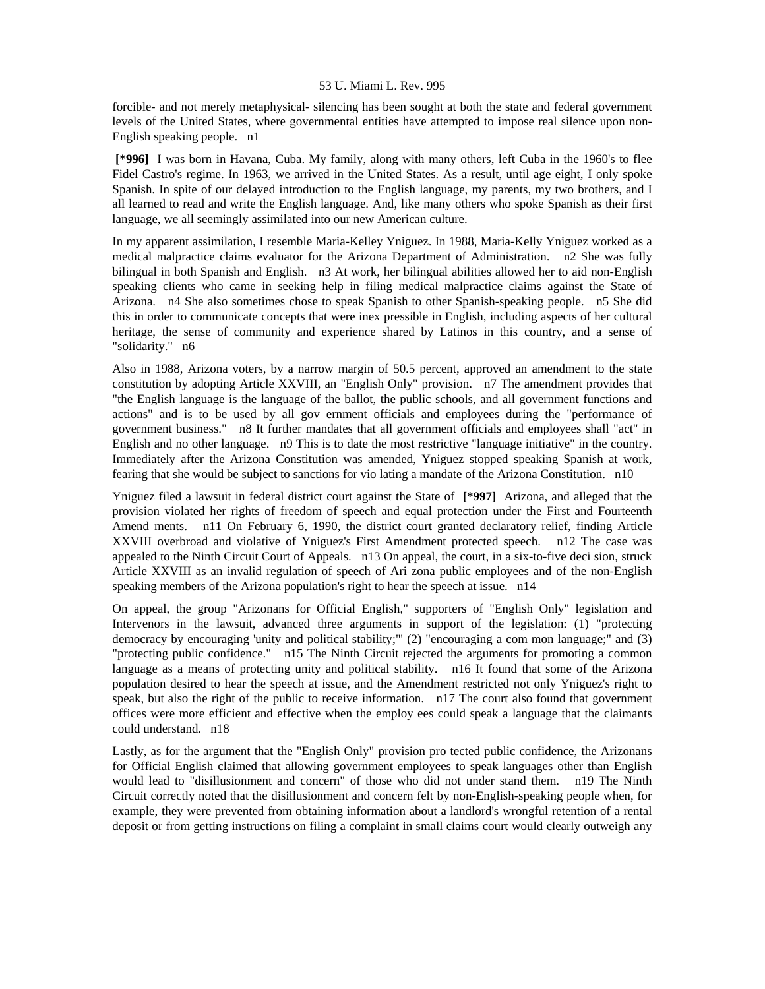forcible- and not merely metaphysical- silencing has been sought at both the state and federal government levels of the United States, where governmental entities have attempted to impose real silence upon non-English speaking people. n1

 **[\*996]** I was born in Havana, Cuba. My family, along with many others, left Cuba in the 1960's to flee Fidel Castro's regime. In 1963, we arrived in the United States. As a result, until age eight, I only spoke Spanish. In spite of our delayed introduction to the English language, my parents, my two brothers, and I all learned to read and write the English language. And, like many others who spoke Spanish as their first language, we all seemingly assimilated into our new American culture.

In my apparent assimilation, I resemble Maria-Kelley Yniguez. In 1988, Maria-Kelly Yniguez worked as a medical malpractice claims evaluator for the Arizona Department of Administration. n2 She was fully bilingual in both Spanish and English. n3 At work, her bilingual abilities allowed her to aid non-English speaking clients who came in seeking help in filing medical malpractice claims against the State of Arizona. n4 She also sometimes chose to speak Spanish to other Spanish-speaking people. n5 She did this in order to communicate concepts that were inex pressible in English, including aspects of her cultural heritage, the sense of community and experience shared by Latinos in this country, and a sense of "solidarity." n6

Also in 1988, Arizona voters, by a narrow margin of 50.5 percent, approved an amendment to the state constitution by adopting Article XXVIII, an "English Only" provision. n7 The amendment provides that "the English language is the language of the ballot, the public schools, and all government functions and actions" and is to be used by all gov ernment officials and employees during the "performance of government business." n8 It further mandates that all government officials and employees shall "act" in English and no other language. n9 This is to date the most restrictive "language initiative" in the country. Immediately after the Arizona Constitution was amended, Yniguez stopped speaking Spanish at work, fearing that she would be subject to sanctions for vio lating a mandate of the Arizona Constitution. n10

Yniguez filed a lawsuit in federal district court against the State of **[\*997]** Arizona, and alleged that the provision violated her rights of freedom of speech and equal protection under the First and Fourteenth Amend ments. n11 On February 6, 1990, the district court granted declaratory relief, finding Article XXVIII overbroad and violative of Yniguez's First Amendment protected speech. n12 The case was appealed to the Ninth Circuit Court of Appeals. n13 On appeal, the court, in a six-to-five deci sion, struck Article XXVIII as an invalid regulation of speech of Ari zona public employees and of the non-English speaking members of the Arizona population's right to hear the speech at issue. n14

On appeal, the group "Arizonans for Official English," supporters of "English Only" legislation and Intervenors in the lawsuit, advanced three arguments in support of the legislation: (1) "protecting democracy by encouraging 'unity and political stability;'" (2) "encouraging a com mon language;" and (3) "protecting public confidence." n15 The Ninth Circuit rejected the arguments for promoting a common language as a means of protecting unity and political stability. n16 It found that some of the Arizona population desired to hear the speech at issue, and the Amendment restricted not only Yniguez's right to speak, but also the right of the public to receive information. n17 The court also found that government offices were more efficient and effective when the employ ees could speak a language that the claimants could understand. n18

Lastly, as for the argument that the "English Only" provision pro tected public confidence, the Arizonans for Official English claimed that allowing government employees to speak languages other than English would lead to "disillusionment and concern" of those who did not under stand them. n19 The Ninth Circuit correctly noted that the disillusionment and concern felt by non-English-speaking people when, for example, they were prevented from obtaining information about a landlord's wrongful retention of a rental deposit or from getting instructions on filing a complaint in small claims court would clearly outweigh any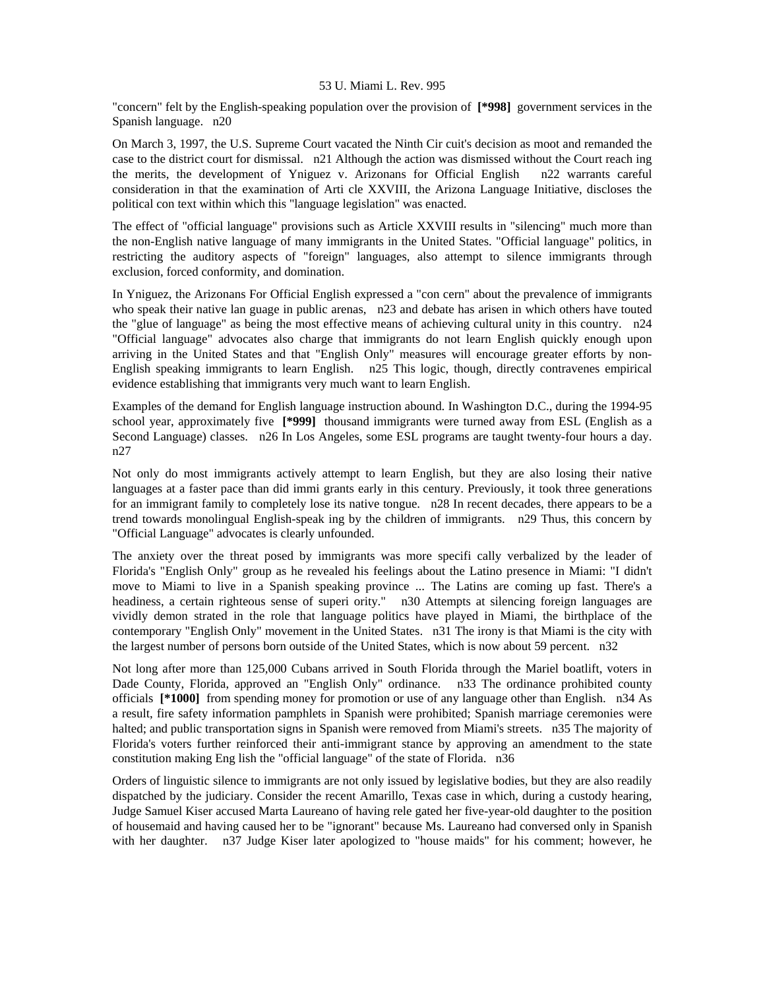"concern" felt by the English-speaking population over the provision of **[\*998]** government services in the Spanish language. n20

On March 3, 1997, the U.S. Supreme Court vacated the Ninth Cir cuit's decision as moot and remanded the case to the district court for dismissal. n21 Although the action was dismissed without the Court reach ing the merits, the development of Yniguez v. Arizonans for Official English n22 warrants careful consideration in that the examination of Arti cle XXVIII, the Arizona Language Initiative, discloses the political con text within which this "language legislation" was enacted.

The effect of "official language" provisions such as Article XXVIII results in "silencing" much more than the non-English native language of many immigrants in the United States. "Official language" politics, in restricting the auditory aspects of "foreign" languages, also attempt to silence immigrants through exclusion, forced conformity, and domination.

In Yniguez, the Arizonans For Official English expressed a "con cern" about the prevalence of immigrants who speak their native lan guage in public arenas, n23 and debate has arisen in which others have touted the "glue of language" as being the most effective means of achieving cultural unity in this country. n24 "Official language" advocates also charge that immigrants do not learn English quickly enough upon arriving in the United States and that "English Only" measures will encourage greater efforts by non-English speaking immigrants to learn English. n25 This logic, though, directly contravenes empirical evidence establishing that immigrants very much want to learn English.

Examples of the demand for English language instruction abound. In Washington D.C., during the 1994-95 school year, approximately five **[\*999]** thousand immigrants were turned away from ESL (English as a Second Language) classes. n26 In Los Angeles, some ESL programs are taught twenty-four hours a day. n27

Not only do most immigrants actively attempt to learn English, but they are also losing their native languages at a faster pace than did immi grants early in this century. Previously, it took three generations for an immigrant family to completely lose its native tongue. n28 In recent decades, there appears to be a trend towards monolingual English-speak ing by the children of immigrants. n29 Thus, this concern by "Official Language" advocates is clearly unfounded.

The anxiety over the threat posed by immigrants was more specifi cally verbalized by the leader of Florida's "English Only" group as he revealed his feelings about the Latino presence in Miami: "I didn't move to Miami to live in a Spanish speaking province ... The Latins are coming up fast. There's a headiness, a certain righteous sense of superi ority." n30 Attempts at silencing foreign languages are vividly demon strated in the role that language politics have played in Miami, the birthplace of the contemporary "English Only" movement in the United States. n31 The irony is that Miami is the city with the largest number of persons born outside of the United States, which is now about 59 percent. n32

Not long after more than 125,000 Cubans arrived in South Florida through the Mariel boatlift, voters in Dade County, Florida, approved an "English Only" ordinance. n33 The ordinance prohibited county officials **[\*1000]** from spending money for promotion or use of any language other than English. n34 As a result, fire safety information pamphlets in Spanish were prohibited; Spanish marriage ceremonies were halted; and public transportation signs in Spanish were removed from Miami's streets. n35 The majority of Florida's voters further reinforced their anti-immigrant stance by approving an amendment to the state constitution making Eng lish the "official language" of the state of Florida. n36

Orders of linguistic silence to immigrants are not only issued by legislative bodies, but they are also readily dispatched by the judiciary. Consider the recent Amarillo, Texas case in which, during a custody hearing, Judge Samuel Kiser accused Marta Laureano of having rele gated her five-year-old daughter to the position of housemaid and having caused her to be "ignorant" because Ms. Laureano had conversed only in Spanish with her daughter. n37 Judge Kiser later apologized to "house maids" for his comment; however, he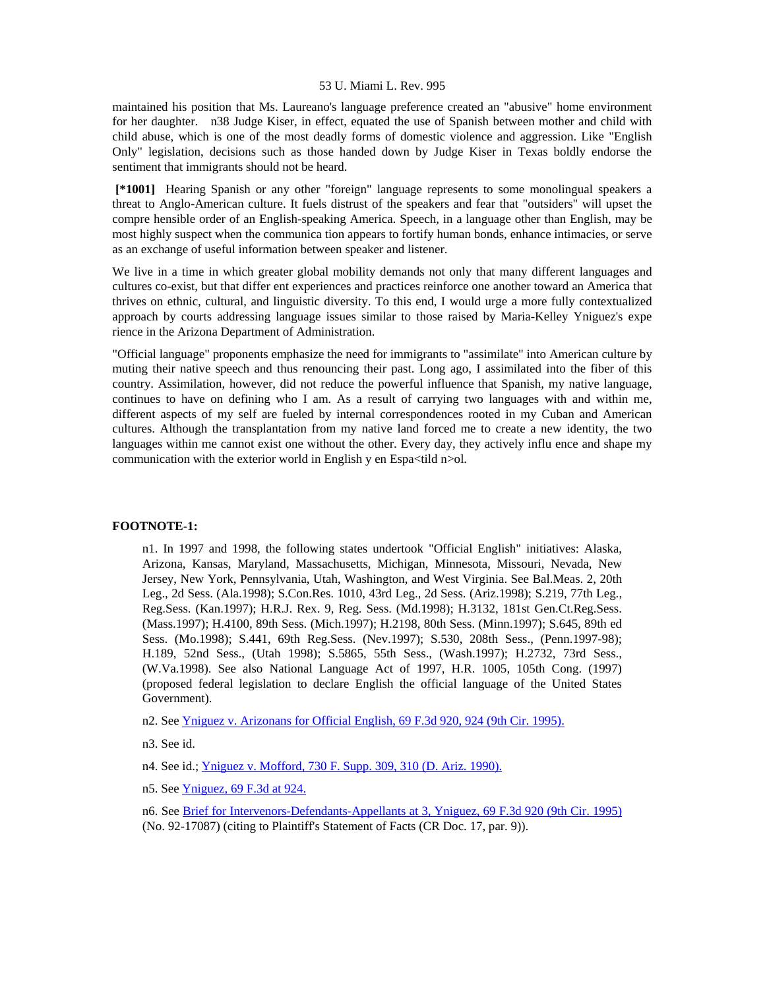maintained his position that Ms. Laureano's language preference created an "abusive" home environment for her daughter. n38 Judge Kiser, in effect, equated the use of Spanish between mother and child with child abuse, which is one of the most deadly forms of domestic violence and aggression. Like "English Only" legislation, decisions such as those handed down by Judge Kiser in Texas boldly endorse the sentiment that immigrants should not be heard.

 **[\*1001]** Hearing Spanish or any other "foreign" language represents to some monolingual speakers a threat to Anglo-American culture. It fuels distrust of the speakers and fear that "outsiders" will upset the compre hensible order of an English-speaking America. Speech, in a language other than English, may be most highly suspect when the communica tion appears to fortify human bonds, enhance intimacies, or serve as an exchange of useful information between speaker and listener.

We live in a time in which greater global mobility demands not only that many different languages and cultures co-exist, but that differ ent experiences and practices reinforce one another toward an America that thrives on ethnic, cultural, and linguistic diversity. To this end, I would urge a more fully contextualized approach by courts addressing language issues similar to those raised by Maria-Kelley Yniguez's expe rience in the Arizona Department of Administration.

"Official language" proponents emphasize the need for immigrants to "assimilate" into American culture by muting their native speech and thus renouncing their past. Long ago, I assimilated into the fiber of this country. Assimilation, however, did not reduce the powerful influence that Spanish, my native language, continues to have on defining who I am. As a result of carrying two languages with and within me, different aspects of my self are fueled by internal correspondences rooted in my Cuban and American cultures. Although the transplantation from my native land forced me to create a new identity, the two languages within me cannot exist one without the other. Every day, they actively influ ence and shape my communication with the exterior world in English y en Espa<tild n>ol.

### **FOOTNOTE-1:**

n1. In 1997 and 1998, the following states undertook "Official English" initiatives: Alaska, Arizona, Kansas, Maryland, Massachusetts, Michigan, Minnesota, Missouri, Nevada, New Jersey, New York, Pennsylvania, Utah, Washington, and West Virginia. See Bal.Meas. 2, 20th Leg., 2d Sess. (Ala.1998); S.Con.Res. 1010, 43rd Leg., 2d Sess. (Ariz.1998); S.219, 77th Leg., Reg.Sess. (Kan.1997); H.R.J. Rex. 9, Reg. Sess. (Md.1998); H.3132, 181st Gen.Ct.Reg.Sess. (Mass.1997); H.4100, 89th Sess. (Mich.1997); H.2198, 80th Sess. (Minn.1997); S.645, 89th ed Sess. (Mo.1998); S.441, 69th Reg.Sess. (Nev.1997); S.530, 208th Sess., (Penn.1997-98); H.189, 52nd Sess., (Utah 1998); S.5865, 55th Sess., (Wash.1997); H.2732, 73rd Sess., (W.Va.1998). See also National Language Act of 1997, H.R. 1005, 105th Cong. (1997) (proposed federal legislation to declare English the official language of the United States Government).

n2. See [Yniguez v. Arizonans for Official English, 69 F.3d 920, 924 \(9th Cir. 1995\).](http://www.lexis.com/research/xlink?searchtype=get&search=69%20F.3d%20920,at%20924)

n3. See id.

n4. See id.; [Yniguez v. Mofford, 730 F. Supp. 309, 310 \(D. Ariz. 1990\).](http://www.lexis.com/research/xlink?searchtype=get&search=730%20F.%20Supp.%20309,at%20310)

n5. See [Yniguez, 69 F.3d at 924.](http://www.lexis.com/research/xlink?searchtype=get&search=69%20F.3d%20920,at%20924)

n6. See [Brief for Intervenors-Defendants-Appellants at 3, Yniguez, 69 F.3d 920 \(9th Cir. 1995\)](http://www.lexis.com/research/xlink?searchtype=get&search=69%20F.3d%20920) (No. 92-17087) (citing to Plaintiff's Statement of Facts (CR Doc. 17, par. 9)).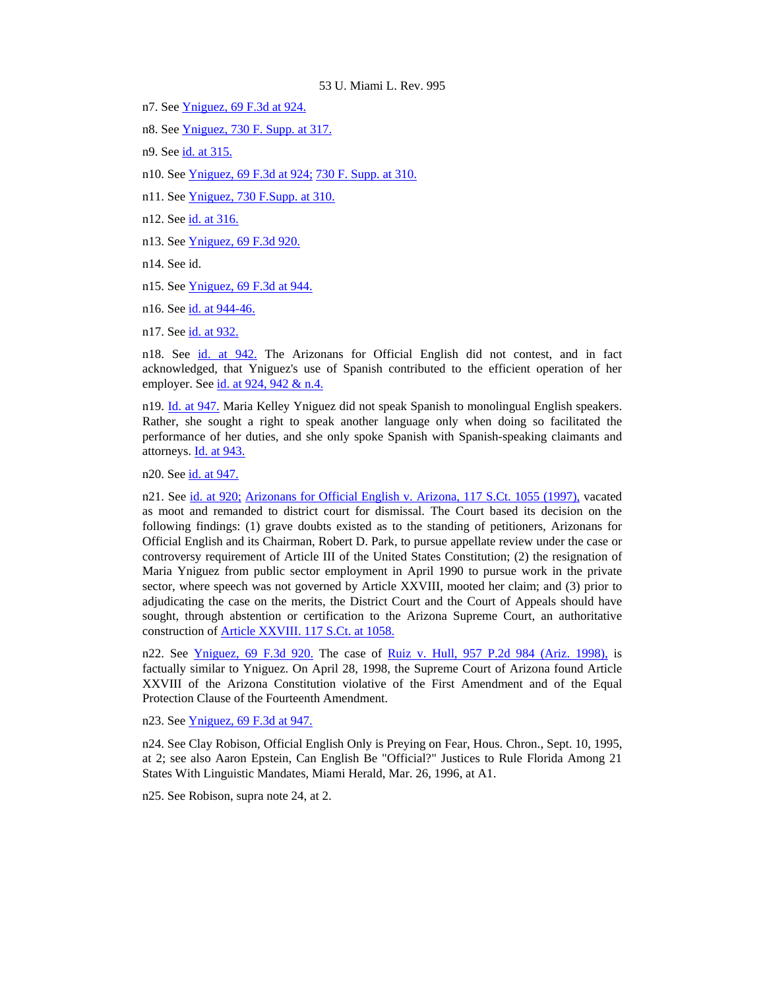- n7. See [Yniguez, 69 F.3d at 924.](http://www.lexis.com/research/xlink?searchtype=get&search=69%20F.3d%20920,at%20924)
- n8. See [Yniguez, 730 F. Supp. at 317.](http://www.lexis.com/research/xlink?searchtype=get&search=730%20F.%20Supp.%20309,at%20317)
- n9. See [id. at 315.](http://www.lexis.com/research/xlink?searchtype=get&search=730%20F.%20Supp.%20309,at%20315)
- n10. See [Yniguez, 69 F.3d at 924;](http://www.lexis.com/research/xlink?searchtype=get&search=69%20F.3d%20920,at%20924) [730 F. Supp. at 310.](http://www.lexis.com/research/xlink?searchtype=get&search=730%20F.%20Supp.%20309,at%20310)
- n11. See [Yniguez, 730 F.Supp. at 310.](http://www.lexis.com/research/xlink?searchtype=get&search=730%20F.%20Supp.%20309,at%20310)
- n12. See [id. at 316.](http://www.lexis.com/research/xlink?searchtype=get&search=730%20F.%20Supp.%20309,at%20316)
- n13. See [Yniguez, 69 F.3d 920.](http://www.lexis.com/research/xlink?searchtype=get&search=69%20F.3d%20920)
- n14. See id.
- n15. See [Yniguez, 69 F.3d at 944.](http://www.lexis.com/research/xlink?searchtype=get&search=69%20F.3d%20920,at%20944)
- n16. See [id. at 944-46.](http://www.lexis.com/research/xlink?searchtype=get&search=69%20F.3d%20920,at%20944)
- n17. See [id. at 932.](http://www.lexis.com/research/xlink?searchtype=get&search=69%20F.3d%20920,at%20932)

n18. See [id. at 942.](http://www.lexis.com/research/xlink?searchtype=get&search=69%20F.3d%20920,at%20942) The Arizonans for Official English did not contest, and in fact acknowledged, that Yniguez's use of Spanish contributed to the efficient operation of her employer. See [id. at 924, 942 & n.4.](http://www.lexis.com/research/xlink?searchtype=get&search=69%20F.3d%20920,at%20924)

n19. [Id. at 947.](http://www.lexis.com/research/xlink?searchtype=get&search=69%20F.3d%20920,at%20947) Maria Kelley Yniguez did not speak Spanish to monolingual English speakers. Rather, she sought a right to speak another language only when doing so facilitated the performance of her duties, and she only spoke Spanish with Spanish-speaking claimants and attorneys. [Id. at 943.](http://www.lexis.com/research/xlink?searchtype=get&search=69%20F.3d%20920,at%20943)

n20. See [id. at 947.](http://www.lexis.com/research/xlink?searchtype=get&search=69%20F.3d%20920,at%20947)

n21. See [id. at 920;](http://www.lexis.com/research/xlink?searchtype=get&search=69%20F.3d%20920) [Arizonans for Official English v. Arizona, 117 S.Ct. 1055 \(1997\),](http://www.lexis.com/research/xlink?searchtype=get&search=117%20S.%20Ct.%201055) vacated as moot and remanded to district court for dismissal. The Court based its decision on the following findings: (1) grave doubts existed as to the standing of petitioners, Arizonans for Official English and its Chairman, Robert D. Park, to pursue appellate review under the case or controversy requirement of Article III of the United States Constitution; (2) the resignation of Maria Yniguez from public sector employment in April 1990 to pursue work in the private sector, where speech was not governed by Article XXVIII, mooted her claim; and (3) prior to adjudicating the case on the merits, the District Court and the Court of Appeals should have sought, through abstention or certification to the Arizona Supreme Court, an authoritative construction of [Article XXVIII. 117 S.Ct. at 1058.](http://www.lexis.com/research/xlink?searchtype=get&search=117%20S.%20Ct.%201055,at%201058)

n22. See [Yniguez, 69 F.3d 920.](http://www.lexis.com/research/xlink?searchtype=get&search=69%20F.3d%20920) The case of [Ruiz v. Hull, 957 P.2d 984 \(Ariz. 1998\),](http://www.lexis.com/research/xlink?searchtype=get&search=957%20P.2d%20984) is factually similar to Yniguez. On April 28, 1998, the Supreme Court of Arizona found Article XXVIII of the Arizona Constitution violative of the First Amendment and of the Equal Protection Clause of the Fourteenth Amendment.

n23. See [Yniguez, 69 F.3d at 947.](http://www.lexis.com/research/xlink?searchtype=get&search=69%20F.3d%20920,at%20947)

n24. See Clay Robison, Official English Only is Preying on Fear, Hous. Chron., Sept. 10, 1995, at 2; see also Aaron Epstein, Can English Be "Official?" Justices to Rule Florida Among 21 States With Linguistic Mandates, Miami Herald, Mar. 26, 1996, at A1.

n25. See Robison, supra note 24, at 2.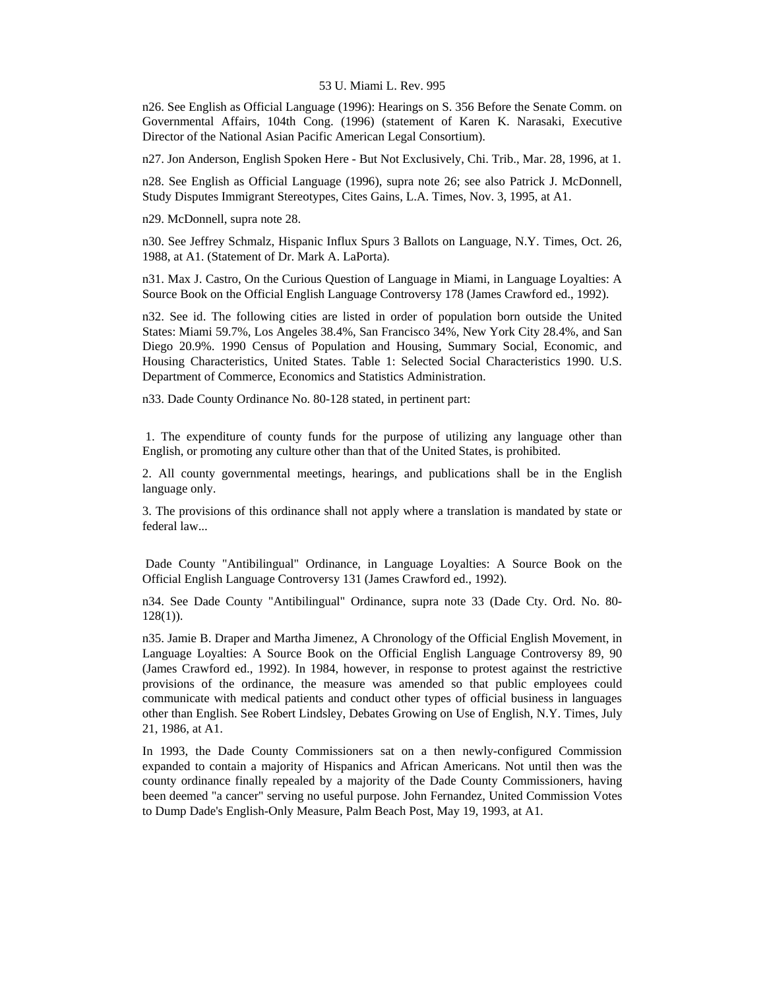n26. See English as Official Language (1996): Hearings on S. 356 Before the Senate Comm. on Governmental Affairs, 104th Cong. (1996) (statement of Karen K. Narasaki, Executive Director of the National Asian Pacific American Legal Consortium).

n27. Jon Anderson, English Spoken Here - But Not Exclusively, Chi. Trib., Mar. 28, 1996, at 1.

n28. See English as Official Language (1996), supra note 26; see also Patrick J. McDonnell, Study Disputes Immigrant Stereotypes, Cites Gains, L.A. Times, Nov. 3, 1995, at A1.

n29. McDonnell, supra note 28.

n30. See Jeffrey Schmalz, Hispanic Influx Spurs 3 Ballots on Language, N.Y. Times, Oct. 26, 1988, at A1. (Statement of Dr. Mark A. LaPorta).

n31. Max J. Castro, On the Curious Question of Language in Miami, in Language Loyalties: A Source Book on the Official English Language Controversy 178 (James Crawford ed., 1992).

n32. See id. The following cities are listed in order of population born outside the United States: Miami 59.7%, Los Angeles 38.4%, San Francisco 34%, New York City 28.4%, and San Diego 20.9%. 1990 Census of Population and Housing, Summary Social, Economic, and Housing Characteristics, United States. Table 1: Selected Social Characteristics 1990. U.S. Department of Commerce, Economics and Statistics Administration.

n33. Dade County Ordinance No. 80-128 stated, in pertinent part:

 1. The expenditure of county funds for the purpose of utilizing any language other than English, or promoting any culture other than that of the United States, is prohibited.

2. All county governmental meetings, hearings, and publications shall be in the English language only.

3. The provisions of this ordinance shall not apply where a translation is mandated by state or federal law...

 Dade County "Antibilingual" Ordinance, in Language Loyalties: A Source Book on the Official English Language Controversy 131 (James Crawford ed., 1992).

n34. See Dade County "Antibilingual" Ordinance, supra note 33 (Dade Cty. Ord. No. 80-  $128(1)$ ).

n35. Jamie B. Draper and Martha Jimenez, A Chronology of the Official English Movement, in Language Loyalties: A Source Book on the Official English Language Controversy 89, 90 (James Crawford ed., 1992). In 1984, however, in response to protest against the restrictive provisions of the ordinance, the measure was amended so that public employees could communicate with medical patients and conduct other types of official business in languages other than English. See Robert Lindsley, Debates Growing on Use of English, N.Y. Times, July 21, 1986, at A1.

In 1993, the Dade County Commissioners sat on a then newly-configured Commission expanded to contain a majority of Hispanics and African Americans. Not until then was the county ordinance finally repealed by a majority of the Dade County Commissioners, having been deemed "a cancer" serving no useful purpose. John Fernandez, United Commission Votes to Dump Dade's English-Only Measure, Palm Beach Post, May 19, 1993, at A1.